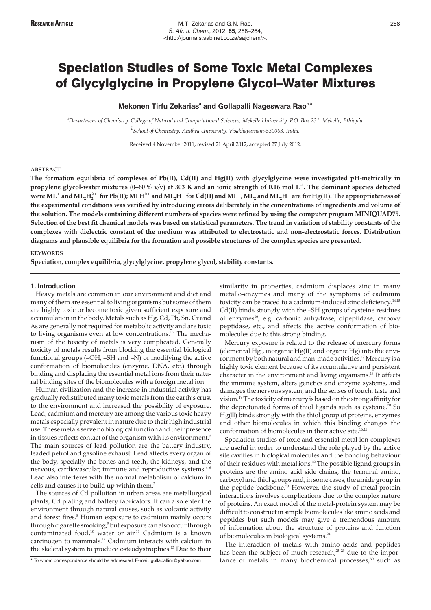# Speciation Studies of Some Toxic Metal Complexes of Glycylglycine in Propylene Glycol–Water Mixtures

# **Mekonen Tirfu Zekarias<sup>a</sup> and Gollapalli Nageswara Raob,\***

*a Department of Chemistry, College of Natural and Computational Sciences, Mekelle University, P.O. Box 231, Mekelle, Ethiopia. b School of Chemistry, Andhra University, Visakhapatnam-530003, India.*

Received 4 November 2011, revised 21 April 2012, accepted 27 July 2012.

## **ABSTRACT**

**The formation equilibria of complexes of Pb(II), Cd(II) and Hg(II) with glycylglycine were investigated pH-metrically in propylene glycol-water mixtures (0–60 % v/v) at 303 K and an ionic strength of 0.16 mol L<sup>-1</sup>. The dominant species detected** were  $\rm ML^+$  and  $\rm ML_2H_2^{2+}$  for Pb(II);  $\rm MLH^{2+}$  and  $\rm ML_2H^+$  for Cd(II) and  $\rm ML^+$ ,  $\rm ML_2$  and  $\rm ML_2H^+$  are for Hg(II). The appropriateness of **the experimental conditions was verified by introducing errors deliberately in the concentrations of ingredients and volume of the solution. The models containing different numbers of species were refined by using the computer program MINIQUAD75. Selection of the best fit chemical models was based on statistical parameters. The trend in variation of stability constants of the complexes with dielectric constant of the medium was attributed to electrostatic and non-electrostatic forces. Distribution diagrams and plausible equilibria for the formation and possible structures of the complex species are presented.**

### **KEYWORDS**

**Speciation, complex equilibria, glycylglycine, propylene glycol, stability constants.**

#### **1. Introduction**

Heavy metals are common in our environment and diet and many of them are essential to living organisms but some of them are highly toxic or become toxic given sufficient exposure and accumulation in the body. Metals such as Hg, Cd, Pb, Sn, Cr and As are generally not required for metabolic activity and are toxic to living organisms even at low concentrations.<sup>1,2</sup> The mechanism of the toxicity of metals is very complicated. Generally toxicity of metals results from blocking the essential biological functional groups (–OH, –SH and –N) or modifying the active conformation of biomolecules (enzyme, DNA, etc.) through binding and displacing the essential metal ions from their natural binding sites of the biomolecules with a foreign metal ion.

Human civilization and the increase in industrial activity has gradually redistributed many toxic metals from the earth's crust to the environment and increased the possibility of exposure. Lead, cadmium and mercury are among the various toxic heavy metals especially prevalent in nature due to their high industrial use. These metals serve no biological function and their presence in tissues reflects contact of the organism with its environment.<sup>3</sup> The main sources of lead pollution are the battery industry, leaded petrol and gasoline exhaust. Lead affects every organ of the body, specially the bones and teeth, the kidneys, and the nervous, cardiovascular, immune and reproductive systems.<sup>4-6</sup> Lead also interferes with the normal metabolism of calcium in cells and causes it to build up within them.7

The sources of Cd pollution in urban areas are metallurgical plants, Cd plating and battery fabricators. It can also enter the environment through natural causes, such as volcanic activity and forest fires.<sup>8</sup> Human exposure to cadmium mainly occurs through cigarette smoking,<sup>9</sup> but exposure can also occur through contaminated food,10 water or air.11 Cadmium is a known carcinogen to mammals.12 Cadmium interacts with calcium in the skeletal system to produce osteodystrophies.13 Due to their similarity in properties, cadmium displaces zinc in many metallo-enzymes and many of the symptoms of cadmium toxicity can be traced to a cadmium-induced zinc deficiency.<sup>14,15</sup> Cd(II) binds strongly with the –SH groups of cysteine residues of enzymes<sup>16</sup>, e.g. carbonic anhydrase, dipeptidase, carboxy peptidase, etc., and affects the active conformation of biomolecules due to this strong binding.

Mercury exposure is related to the release of mercury forms (elemental  $Hg^0$ , inorganic  $Hg(II)$  and organic  $Hg$ ) into the environment by both natural and man-made activities.<sup>17</sup> Mercury is a highly toxic element because of its accumulative and persistent character in the environment and living organisms.<sup>18</sup> It affects the immune system, alters genetics and enzyme systems, and damages the nervous system, and the senses of touch, taste and vision.19 The toxicity of mercury is based on the strong affinity for the deprotonated forms of thiol ligands such as cysteine.<sup>20</sup> So Hg(II) binds strongly with the thiol group of proteins, enzymes and other biomolecules in which this binding changes the conformation of biomolecules in their active site.<sup>16,21</sup>

Speciation studies of toxic and essential metal ion complexes are useful in order to understand the role played by the active site cavities in biological molecules and the bonding behaviour of their residues with metal ions.<sup>22</sup> The possible ligand groups in proteins are the amino acid side chains, the terminal amino, carboxyl and thiol groups and, in some cases, the amide group in the peptide backbone.<sup>23</sup> However, the study of metal-protein interactions involves complications due to the complex nature of proteins. An exact model of the metal-protein system may be difficult to construct in simple biomolecules like amino acids and peptides but such models may give a tremendous amount of information about the structure of proteins and function of biomolecules in biological systems.<sup>24</sup>

The interaction of metals with amino acids and peptides has been the subject of much research, $25-29$  due to the importance of metals in many biochemical processes, $30$  such as

<sup>\*</sup> To whom correspondence should be addressed. E-mail: gollapallinr@yahoo.com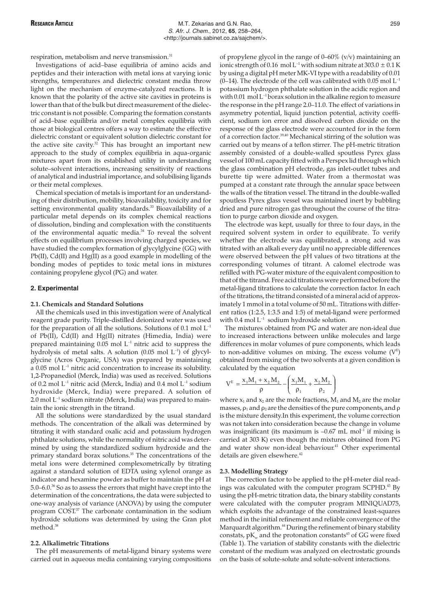respiration, metabolism and nerve transmission.<sup>31</sup>

Investigations of acid–base equilibria of amino acids and peptides and their interaction with metal ions at varying ionic strengths, temperatures and dielectric constant media throw light on the mechanism of enzyme-catalyzed reactions. It is known that the polarity of the active site cavities in proteins is lower than that of the bulk but direct measurement of the dielectric constant is not possible. Comparing the formation constants of acid–base equilibria and/or metal complex equilibria with those at biological centres offers a way to estimate the effective dielectric constant or equivalent solution dielectric constant for the active site cavity.<sup>32</sup> This has brought an important new approach to the study of complex equilibria in aqua-organic mixtures apart from its established utility in understanding solute–solvent interactions, increasing sensitivity of reactions of analytical and industrial importance, and solubilising ligands or their metal complexes.

Chemical speciation of metals is important for an understanding of their distribution, mobility, bioavailability, toxicity and for setting environmental quality standards.<sup>33</sup> Bioavailability of a particular metal depends on its complex chemical reactions of dissolution, binding and complexation with the constituents of the environmental aquatic media.<sup>34</sup> To reveal the solvent effects on equilibrium processes involving charged species, we have studied the complex formation of glycylglycine (GG) with Pb(II), Cd(II) and Hg(II) as a good example in modelling of the bonding modes of peptides to toxic metal ions in mixtures containing propylene glycol (PG) and water.

## **2. Experimental**

#### **2.1. Chemicals and Standard Solutions**

All the chemicals used in this investigation were of Analytical reagent grade purity. Triple-distilled deionized water was used for the preparation of all the solutions. Solutions of  $0.1$  mol  $L^{-1}$ of Pb(II), Cd(II) and Hg(II) nitrates (Himedia, India) were prepared maintaining  $0.05$  mol  $L^{-1}$  nitric acid to suppress the hydrolysis of metal salts. A solution (0.05 mol L–1) of glycylglycine (Acros Organic, USA) was prepared by maintaining a  $0.05$  mol  $L^{-1}$  nitric acid concentration to increase its solubility. 1,2-Propanediol (Merck, India) was used as received. Solutions of 0.2 mol  $L^{-1}$  nitric acid (Merck, India) and 0.4 mol  $L^{-1}$  sodium hydroxide (Merck, India) were prepared. A solution of  $2.0$  mol  $L^{-1}$  sodium nitrate (Merck, India) was prepared to maintain the ionic strength in the titrand.

All the solutions were standardized by the usual standard methods. The concentration of the alkali was determined by titrating it with standard oxalic acid and potassium hydrogen phthalate solutions, while the normality of nitric acid was determined by using the standardized sodium hydroxide and the primary standard borax solutions.<sup>35</sup> The concentrations of the metal ions were determined complexometrically by titrating against a standard solution of EDTA using xylenol orange as indicator and hexamine powder as buffer to maintain the pH at 5.0–6.0.36 So as to assess the errors that might have crept into the determination of the concentrations, the data were subjected to one-way analysis of variance (ANOVA) by using the computer program COST<sup>37</sup> The carbonate contamination in the sodium hydroxide solutions was determined by using the Gran plot method<sup>38</sup>

# **2.2. Alkalimetric Titrations**

The pH measurements of metal-ligand binary systems were carried out in aqueous media containing varying compositions

of propylene glycol in the range of  $0-60\%$  (v/v) maintaining an ionic strength of 0.16 mol L<sup>-1</sup> with sodium nitrate at 303.0  $\pm$  0.1 K by using a digital pH meter MK-VI type with a readability of 0.01 (0–14). The electrode of the cell was calibrated with 0.05 mol  $L^{-1}$ potassium hydrogen phthalate solution in the acidic region and with 0.01 mol  $L^{-1}$  borax solution in the alkaline region to measure the response in the pH range 2.0–11.0. The effect of variations in asymmetry potential, liquid junction potential, activity coefficient, sodium ion error and dissolved carbon dioxide on the response of the glass electrode were accounted for in the form of a correction factor.<sup>39,40</sup> Mechanical stirring of the solution was carried out by means of a teflon stirrer. The pH-metric titration assembly consisted of a double-walled spoutless Pyrex glass vessel of 100 mL capacity fitted with a Perspex lid through which the glass combination pH electrode, gas inlet-outlet tubes and burette tip were admitted. Water from a thermostat was pumped at a constant rate through the annular space between the walls of the titration vessel. The titrand in the double-walled spoutless Pyrex glass vessel was maintained inert by bubbling dried and pure nitrogen gas throughout the course of the titration to purge carbon dioxide and oxygen.

The electrode was kept, usually for three to four days, in the required solvent system in order to equilibrate. To verify whether the electrode was equilibrated, a strong acid was titrated with an alkali every day until no appreciable differences were observed between the pH values of two titrations at the corresponding volumes of titrant. A calomel electrode was refilled with PG-water mixture of the equivalent composition to that of the titrand. Free acid titrations were performed before the metal-ligand titrations to calculate the correction factor. In each of the titrations, the titrand consisted of a mineral acid of approximately 1 mmol in a total volume of 50 mL. Titrations with different ratios (1:2.5, 1:3.5 and 1:5) of metal-ligand were performed with  $0.4$  mol  $L^{-1}$  sodium hydroxide solution.

The mixtures obtained from PG and water are non-ideal due to increased interactions between unlike molecules and large differences in molar volumes of pure components, which leads to non-additive volumes on mixing. The excess volume  $(V^E)$ obtained from mixing of the two solvents at a given condition is calculated by the equation

$$
V^{E} = \frac{x_{1}M_{1} + x_{2}M_{2}}{\rho} - \left(\frac{x_{1}M_{1}}{\rho_{1}} + \frac{x_{2}M_{2}}{\rho_{2}}\right)
$$

where  $x_1$  and  $x_2$  are the mole fractions,  $M_1$  and  $M_2$  are the molar masses,  $\rho_1$  and  $\rho_2$  are the densities of the pure components, and  $\rho$ is the mixture density.In this experiment, the volume correction was not taken into consideration because the change in volume was insignificant (its maximum is  $-0.67$  mL mol<sup>-1</sup> if mixing is carried at 303 K) even though the mixtures obtained from PG and water show non-ideal behaviour.<sup>41</sup> Other experimental details are given elsewhere.<sup>42</sup>

## **2.3. Modelling Strategy**

The correction factor to be applied to the pH-meter dial readings was calculated with the computer program SCPHD.<sup>43</sup> By using the pH-metric titration data, the binary stability constants were calculated with the computer program MINIQUAD75, which exploits the advantage of the constrained least-squares method in the initial refinement and reliable convergence of the Marquardt algorithm.<sup>44</sup> During the refinement of binary stability constats, pK<sub>w</sub> and the protonation constants<sup>45</sup> of GG were fixed (Table 1). The variation of stability constants with the dielectric constant of the medium was analyzed on electrostatic grounds on the basis of solute-solute and solute-solvent interactions.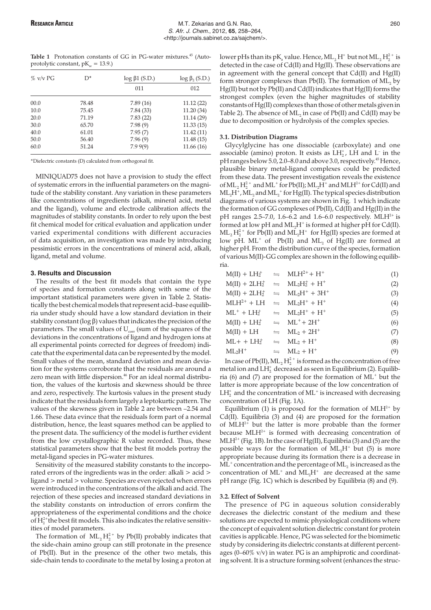Table 1 Protonation constants of GG in PG-water mixtures.<sup>45</sup> (Autoprotolytic constant,  $pK_w = 13.9$ .

| $\%$ v/v PG | D*    | $log \beta1$ (S.D.) | $\log \beta_2$ (S.D.) |
|-------------|-------|---------------------|-----------------------|
|             |       | 011                 | 012                   |
| 00.0        | 78.48 | 7.89(16)            | 11.12(22)             |
| 10.0        | 75.45 | 7.84 (33)           | 11.20(34)             |
| 20.0        | 71.19 | 7.83(22)            | 11.14(29)             |
| 30.0        | 65.70 | 7.98(9)             | 11.33(15)             |
| 40.0        | 61.01 | 7.95(7)             | 11.42(11)             |
| 50.0        | 56.40 | 7.96(9)             | 11.48(15)             |
| 60.0        | 51.24 | 7.99(9)             | 11.66(16)             |

\*Dielectric constants (D) calculated from orthogonal fit.

MINIQUAD75 does not have a provision to study the effect of systematic errors in the influential parameters on the magnitude of the stability constant. Any variation in these parameters like concentrations of ingredients (alkali, mineral acid, metal and the ligand), volume and electrode calibration affects the magnitudes of stability constants. In order to rely upon the best fit chemical model for critical evaluation and application under varied experimental conditions with different accuracies of data acquisition, an investigation was made by introducing pessimistic errors in the concentrations of mineral acid, alkali, ligand, metal and volume.

## **3. Results and Discussion**

The results of the best fit models that contain the type of species and formation constants along with some of the important statistical parameters were given in Table 2. Statistically the best chemical models that represent acid–base equilibria under study should have a low standard deviation in their stability constant (log  $\beta$ ) values that indicates the precision of the parameters. The small values of  $U_{\text{corr}}$  (sum of the squares of the deviations in the concentrations of ligand and hydrogen ions at all experimental points corrected for degrees of freedom) indicate that the experimental data can be represented by the model. Small values of the mean, standard deviation and mean deviation for the systems corroborate that the residuals are around a zero mean with little dispersion.<sup>46</sup> For an ideal normal distribution, the values of the kurtosis and skewness should be three and zero, respectively. The kurtosis values in the present study indicate that the residuals form largely a leptokurtic pattern. The values of the skewness given in Table 2 are between –2.54 and 1.66. These data evince that the residuals form part of a normal distribution, hence, the least squares method can be applied to the present data. The sufficiency of the model is further evident from the low crystallographic R value recorded. Thus, these statistical parameters show that the best fit models portray the metal-ligand species in PG-water mixtures.

Sensitivity of the measured stability constants to the incorporated errors of the ingredients was in the order: alkali > acid > ligand > metal > volume. Species are even rejected when errors were introduced in the concentrations of the alkali and acid. The rejection of these species and increased standard deviations in the stability constants on introduction of errors confirm the appropriateness of the experimental conditions and the choice of  $\mathrm{H}_2^{2+}$ the best fit models. This also indicates the relative sensitivities of model parameters.

The formation of  $ML_2H_2^{2+}$  by Pb(II) probably indicates that the side-chain amino group can still protonate in the presence of Pb(II). But in the presence of the other two metals, this side-chain tends to coordinate to the metal by losing a proton at

lower pHs than its pK $_{\rm a}$  value. Hence, ML  $_{\rm 2}$  H $^{\rm +}$  but not ML  $_{\rm 2}$  H $_{\rm 2}^{\rm 2+}$  is detected in the case of Cd(II) and Hg(II). These observations are in agreement with the general concept that Cd(II) and Hg(II) form stronger complexes than Pb(II). The formation of  $ML_2$  by Hg(II) but not by Pb(II) and Cd(II) indicates that Hg(II) forms the strongest complex (even the higher magnitudes of stability constants of Hg(II) complexes than those of other metals given in Table 2). The absence of  $ML_2$  in case of Pb(II) and Cd(II) may be due to decomposition or hydrolysis of the complex species.

## **3.1. Distribution Diagrams**

Glycylglycine has one dissociable (carboxylate) and one associable (amino) proton. It exists as  $LH_2^*$ , LH and L<sup>-</sup> in the pH ranges below 5.0, 2.0–8.0 and above 3.0, respectively.<sup>45</sup> Hence, plausible binary metal-ligand complexes could be predicted from these data. The present investigation reveals the existence of  $\rm ML_2\rm H_2^{2+}$  and  $\rm ML^+$  for Pb(II);  $\rm ML_2H^+$  and  $\rm MLH^{2+}$  for Cd(II) and  $\rm ML_2H^+$ ,  $\rm ML_2$  and  $\rm ML_2^+$  for  $\rm Hg(II)$ . The typical species distribution diagrams of various systems are shown in Fig. 1 which indicate the formation of GG complexes of Pb(II), Cd(II) and Hg(II) in the pH ranges 2.5–7.0, 1.6–6.2 and 1.6–6.0 respectively. MLH<sup>2+</sup> is formed at low pH and  $ML<sub>2</sub>H<sup>+</sup>$  is formed at higher pH for Cd(II).  $\rm ML_2\rm H_2^{2+}$  for Pb(II) and  $\rm ML_2H^+$  for  $\rm Hg(II)$  species are formed at low pH.  $ML^+$  of Pb(II) and  $ML_2$  of Hg(II) are formed at higher pH. From the distribution curve of the species, formation of various M(II)-GG complex are shown in the following equilibria.

| $M(II) + LH_2^+ \Rightarrow MLH^{2+} + H^+$ |                                            | (1) |
|---------------------------------------------|--------------------------------------------|-----|
| $M(II) + 2LH2+ \implies ML2H2+ + H+$        |                                            | (2) |
| $M(II) + 2LH2+ \implies ML2H+ + 3H+$        |                                            | (3) |
| $MLH^{2+} + LH \cong ML_2H^+ + H^+$         |                                            | (4) |
| $ML^+ + LH_2^+ \Rightarrow ML_2H^+ + H^+$   |                                            | (5) |
| $M(II) + LH_2^+ \Rightarrow ML^+ + 2H^+$    |                                            | (6) |
| $M(II) + LH$                                | $\equiv$ ML <sub>2</sub> + 2H <sup>+</sup> | (7) |
| $ML++LH2+$                                  | $\equiv$ ML <sub>2</sub> + H <sup>+</sup>  | (8) |
| $\mathrm{ML_2H}^+$                          | $\equiv$ ML <sub>2</sub> + H <sup>+</sup>  | (9) |

In case of  $Pb(II)$ ,  $ML_2H_2^{2+}$  is formed as the concentration of free metal ion and  $\mathrm{LH}_2^+$  decreased as seen in Equilibrium (2). Equilibria (6) and (7) are proposed for the formation of  $ML^+$  but the latter is more appropriate because of the low concentration of  $LH_2^+$  and the concentration of  $ML^+$  is increased with decreasing concentration of LH (Fig. 1A).

Equilibrium (1) is proposed for the formation of  $MLH<sup>2+</sup>$  by Cd(II). Equilibria (3) and (4) are proposed for the formation of  $MLH^{2+}$  but the latter is more probable than the former because  $MLH^{2+}$  is formed with decreasing concentration of  $MLH^{2+}$  (Fig. 1B). In the case of Hg(II), Equilibria (3) and (5) are the possible ways for the formation of  $ML<sub>2</sub>H<sup>+</sup>$  but (5) is more appropriate because during its formation there is a decrease in  $ML^+$  concentration and the percentage of  $ML_2$  is increased as the concentration of  $ML^+$  and  $ML_2H^+$  are decreased at the same pH range (Fig. 1C) which is described by Equilibria (8) and (9).

#### **3.2. Effect of Solvent**

The presence of PG in aqueous solution considerably decreases the dielectric constant of the medium and these solutions are expected to mimic physiological conditions where the concept of equivalent solution dielectric constant for protein cavities is applicable. Hence, PG was selected for the biomimetic study by considering its dielectric constants at different percentages (0–60% v/v) in water. PG is an amphiprotic and coordinating solvent. It is a structure forming solvent (enhances the struc-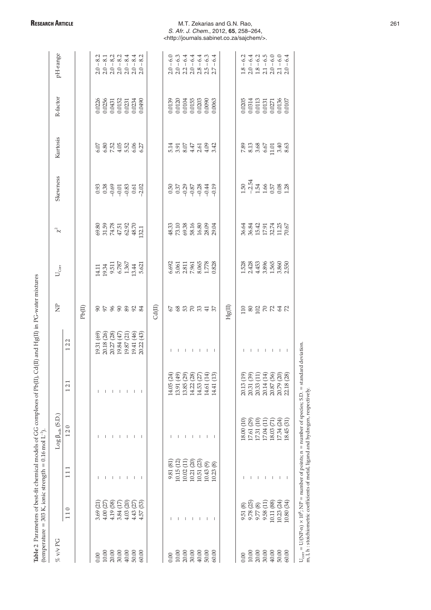| $\frac{1}{2}$<br>l<br>.<br>C<br>T<br>T<br>T<br>T<br>T<br>T<br>T<br><br><br><br><br><br><br><br><br><br><br>;<br>;<br>;<br>i<br>۱,<br>l | ī<br>ׇ֚֕֡<br>II |
|----------------------------------------------------------------------------------------------------------------------------------------|-----------------|
| I<br>Î<br>ĺ                                                                                                                            | I<br>I          |

|                                                                                   |                                                                                         | (temperature = 303 K, ionic strength = 0.16 mol L").                                              |                                                                             |                                                                                                                                                             |                                                                                                                                                                             |                         |                                                                                                             |                                                             |                                                     |                               |                                                                                                      |                                                                                                                                                                                                                                                                                                           |
|-----------------------------------------------------------------------------------|-----------------------------------------------------------------------------------------|---------------------------------------------------------------------------------------------------|-----------------------------------------------------------------------------|-------------------------------------------------------------------------------------------------------------------------------------------------------------|-----------------------------------------------------------------------------------------------------------------------------------------------------------------------------|-------------------------|-------------------------------------------------------------------------------------------------------------|-------------------------------------------------------------|-----------------------------------------------------|-------------------------------|------------------------------------------------------------------------------------------------------|-----------------------------------------------------------------------------------------------------------------------------------------------------------------------------------------------------------------------------------------------------------------------------------------------------------|
| % v/v PG                                                                          |                                                                                         |                                                                                                   | $Log \beta_{mlh} (S.D.)$                                                    |                                                                                                                                                             |                                                                                                                                                                             | $\overline{\mathsf{z}}$ | $U_{\rm corr}$                                                                                              | $\chi^2$                                                    | Skewness                                            | Kurtosis                      | R-factor                                                                                             | pH-range                                                                                                                                                                                                                                                                                                  |
|                                                                                   | 110                                                                                     | 111                                                                                               | 120                                                                         | $\overline{ }$<br>$\mathcal{L}$<br>$\overline{ }$                                                                                                           | 122                                                                                                                                                                         |                         |                                                                                                             |                                                             |                                                     |                               |                                                                                                      |                                                                                                                                                                                                                                                                                                           |
|                                                                                   |                                                                                         |                                                                                                   |                                                                             |                                                                                                                                                             |                                                                                                                                                                             | Pb(II)                  |                                                                                                             |                                                             |                                                     |                               |                                                                                                      |                                                                                                                                                                                                                                                                                                           |
| 0.00                                                                              | 3.69 (21)                                                                               |                                                                                                   |                                                                             |                                                                                                                                                             |                                                                                                                                                                             |                         |                                                                                                             |                                                             |                                                     |                               |                                                                                                      |                                                                                                                                                                                                                                                                                                           |
|                                                                                   |                                                                                         |                                                                                                   |                                                                             |                                                                                                                                                             | $\begin{array}{l} 19.31 \ (69) \\ 20.18 \ (26) \\ 20.27 \ (28) \\ 19.84 \ (47) \\ 19.87 \ (21) \\ 19.87 \ (24) \\ 19.41 \ (46) \\ 19.41 \ (45) \\ 20.22 \ (43) \end{array}$ | 8588833                 | $\begin{array}{c} 14.11 \\ 19.34 \\ 9.511 \\ 6.787 \\ 1.367 \\ 1.367 \\ 1.44 \\ 13.44 \\ 5.621 \end{array}$ | 88.89<br>51.58<br>51.58.50<br>52.1<br>52.50<br>52.1         |                                                     |                               | $\begin{array}{l} 0.0226 \\ 0.0256 \\ 0.0431 \\ 0.0152 \\ 0.0231 \\ 0.0234 \\ 0.0490 \\ \end{array}$ | $\begin{array}{cccc} 23 & 24 & 24 & 24 & 24 \\ 25 & 25 & 24 & 24 & 24 \\ 25 & 25 & 25 & 25 & 25 \\ 25 & 25 & 25 & 25 & 25 \\ 25 & 25 & 25 & 25 & 25 \\ 25 & 25 & 25 & 25 & 25 \\ 25 & 25 & 25 & 25 & 25 \\ 25 & 25 & 25 & 25 & 25 \\ 25 & 25 & 25 & 25 & 25 \\ 25 & 25 & 25 & 25 & 25 \\ 25 & 25 & 25 & $ |
|                                                                                   | $4.00(27)$<br>$4.19(58)$                                                                |                                                                                                   |                                                                             |                                                                                                                                                             |                                                                                                                                                                             |                         |                                                                                                             |                                                             |                                                     |                               |                                                                                                      |                                                                                                                                                                                                                                                                                                           |
| $\begin{array}{l} 10.00 \\ 20.00 \\ 30.00 \\ 40.00 \\ 60.00 \end{array}$          | 3.84(17)                                                                                |                                                                                                   |                                                                             |                                                                                                                                                             |                                                                                                                                                                             |                         |                                                                                                             |                                                             |                                                     |                               |                                                                                                      |                                                                                                                                                                                                                                                                                                           |
|                                                                                   | $4.03(20)$<br>$4.43(27)$                                                                | $\mathbf{I}$                                                                                      |                                                                             | $\mathbf{I}$                                                                                                                                                |                                                                                                                                                                             |                         |                                                                                                             |                                                             |                                                     |                               |                                                                                                      |                                                                                                                                                                                                                                                                                                           |
|                                                                                   |                                                                                         | 1                                                                                                 | т                                                                           | $\mathbf{I}$                                                                                                                                                |                                                                                                                                                                             |                         |                                                                                                             |                                                             |                                                     |                               |                                                                                                      |                                                                                                                                                                                                                                                                                                           |
|                                                                                   | (53)<br>4.57                                                                            | -1                                                                                                |                                                                             |                                                                                                                                                             |                                                                                                                                                                             |                         |                                                                                                             |                                                             |                                                     |                               |                                                                                                      |                                                                                                                                                                                                                                                                                                           |
|                                                                                   |                                                                                         |                                                                                                   |                                                                             |                                                                                                                                                             |                                                                                                                                                                             | Cd(II)                  |                                                                                                             |                                                             |                                                     |                               |                                                                                                      |                                                                                                                                                                                                                                                                                                           |
| 0.00                                                                              |                                                                                         | 9.81 (81)                                                                                         |                                                                             |                                                                                                                                                             |                                                                                                                                                                             |                         |                                                                                                             |                                                             |                                                     |                               |                                                                                                      |                                                                                                                                                                                                                                                                                                           |
| $\begin{array}{l} 10.00 \\ 20.00 \\ 30.00 \\ 40.00 \\ 50.00 \\ 60.00 \end{array}$ |                                                                                         | $\begin{array}{c} 10.15\ (12)\\ 10.02\ (11)\\ 10.21\ (20)\\ 10.51\ (23)\\ 10.43\ (9) \end{array}$ |                                                                             | $\begin{array}{c} 14.05 \ (24) \\ 13.91 \ (49) \\ 13.85 \ (29) \\ 14.22 \ (28) \\ 14.53 \ (27) \\ 14.53 \ (27) \\ 14.61 \ (14) \\ 14.61 \ (13) \end{array}$ |                                                                                                                                                                             | <b>GERRER</b>           | 6.692<br>5.061<br>5.361<br>7.965<br>7.778<br>0.828                                                          | 48.33<br>COS 36.50<br>COS 36.00<br>COS 36.04                | $553333472$<br>$-553323472$                         | 11<br>5.054504<br>5.04 4.04   | $\begin{array}{l} 0.0139 \\ 0.0120 \\ 0.0104 \\ 0.0155 \\ 0.0203 \\ 0.0090 \\ 0.0063 \end{array}$    |                                                                                                                                                                                                                                                                                                           |
|                                                                                   | т                                                                                       |                                                                                                   |                                                                             |                                                                                                                                                             | $\mathbf{I}$                                                                                                                                                                |                         |                                                                                                             |                                                             |                                                     |                               |                                                                                                      |                                                                                                                                                                                                                                                                                                           |
|                                                                                   | $\mathbf{I}$                                                                            |                                                                                                   | -1                                                                          |                                                                                                                                                             | $\mathbf{I}$                                                                                                                                                                |                         |                                                                                                             |                                                             |                                                     |                               |                                                                                                      |                                                                                                                                                                                                                                                                                                           |
|                                                                                   | $\overline{\phantom{a}}$                                                                |                                                                                                   | - 1                                                                         |                                                                                                                                                             | $-1$                                                                                                                                                                        |                         |                                                                                                             |                                                             |                                                     |                               |                                                                                                      |                                                                                                                                                                                                                                                                                                           |
|                                                                                   | т                                                                                       |                                                                                                   |                                                                             |                                                                                                                                                             |                                                                                                                                                                             |                         |                                                                                                             |                                                             |                                                     |                               |                                                                                                      |                                                                                                                                                                                                                                                                                                           |
|                                                                                   | $\mathbf{I}$                                                                            | 10.23(8)                                                                                          |                                                                             |                                                                                                                                                             |                                                                                                                                                                             |                         |                                                                                                             |                                                             |                                                     |                               |                                                                                                      |                                                                                                                                                                                                                                                                                                           |
|                                                                                   |                                                                                         |                                                                                                   |                                                                             |                                                                                                                                                             |                                                                                                                                                                             | Hg(II)                  |                                                                                                             |                                                             |                                                     |                               |                                                                                                      |                                                                                                                                                                                                                                                                                                           |
| 0.00                                                                              |                                                                                         |                                                                                                   | 18.00 (10)                                                                  |                                                                                                                                                             |                                                                                                                                                                             |                         |                                                                                                             |                                                             |                                                     |                               |                                                                                                      |                                                                                                                                                                                                                                                                                                           |
|                                                                                   |                                                                                         |                                                                                                   | $\begin{array}{c} 17.61 \ (29) \\ 17.31 \ (10) \\ 17.04 \ (11) \end{array}$ |                                                                                                                                                             |                                                                                                                                                                             |                         |                                                                                                             |                                                             |                                                     |                               |                                                                                                      |                                                                                                                                                                                                                                                                                                           |
|                                                                                   |                                                                                         |                                                                                                   |                                                                             |                                                                                                                                                             |                                                                                                                                                                             |                         |                                                                                                             |                                                             |                                                     |                               |                                                                                                      |                                                                                                                                                                                                                                                                                                           |
|                                                                                   |                                                                                         |                                                                                                   |                                                                             |                                                                                                                                                             | $\mathbf{I}$                                                                                                                                                                |                         |                                                                                                             |                                                             |                                                     |                               |                                                                                                      |                                                                                                                                                                                                                                                                                                           |
|                                                                                   |                                                                                         |                                                                                                   |                                                                             |                                                                                                                                                             | $\overline{\phantom{a}}$                                                                                                                                                    |                         |                                                                                                             |                                                             |                                                     |                               |                                                                                                      |                                                                                                                                                                                                                                                                                                           |
| $\begin{array}{l} 10.00 \\ 20.00 \\ 30.00 \\ 40.00 \\ 60.00 \end{array}$          | 9.51 (8)<br>9.78 (25)<br>9.78 (8)<br>9.58 (11)<br>9.88 (34)<br>10.23 (34)<br>10.80 (34) |                                                                                                   | $\frac{18.03}{17.34}\frac{(71)}{(24)}$                                      | 20.13 (19)<br>20.31 (39)<br>20.33 (11)<br>20.32 (14)<br>20.87 (56)<br>20.79 (20)                                                                            | - 1                                                                                                                                                                         | <b>ESSERGE</b>          | $1.528$<br>$2.423$<br>$4.453$<br>$5.860$<br>$1.580$<br>$5.50$<br>$2.50$                                     | 36.84<br>36.84<br>36.45<br>57<br>57<br>57<br>57<br>57<br>57 | $1.50$<br>$-2.54$<br>$1.54$ 365<br>$0.08$<br>$1.38$ | 2813667<br>2813667<br>2913667 | $\begin{array}{c} 0.0205 \\ 0.0314 \\ 0.0113 \\ 0.0131 \\ 0.0271 \\ 0.036 \\ 0.0106 \end{array}$     | $\begin{array}{l} 1.8-6.3 \\ 2.0-6.4 \\ 2.1-6.5 \\ 3.2-1-6.5 \\ 4.3-1-6.0 \\ 5.1-6.0 \\ 6.4 \\ 2.0-6.4 \end{array}$                                                                                                                                                                                       |
|                                                                                   |                                                                                         |                                                                                                   | 18.45 (31)                                                                  |                                                                                                                                                             |                                                                                                                                                                             |                         |                                                                                                             |                                                             |                                                     |                               |                                                                                                      |                                                                                                                                                                                                                                                                                                           |

 $U_{\text{corr}} = U/(NP-n) \times 10^6$ ; NP = number of points; n = number of species; S.D. = standard deviation.

 $U_{corr} = U/(N P \cdot n) \times 10^6$ ;  $NP =$  number of points;  $n =$  number of species; S.D. = standard deviation.<br>m, I, h : stoichiometric coefficients of metal, ligand and hydrogen, respectively.

m, l, h : stoichiometric coefficients of metal, ligand and hydrogen, respectively.

 $\bar{\beta}$ 

# **RESEARCH ARTICLE ARTICLE ARTICLE M.T. Zekarias and G.N. Rao, 261** S. Afr. J. Chem., 2012, **65**, 258–264, <http://journals.sabinet.co.za/sajchem/>.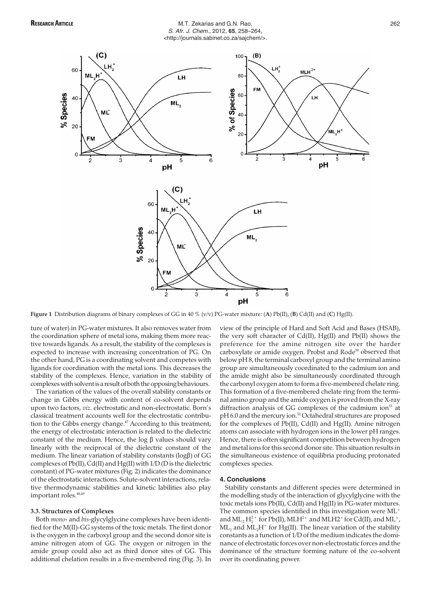# **RESEARCH ARTICLE** THE SECOND M.T. Zekarias and G.N. Rao, **262** and G.N. Rao, 262 S. Afr. J. Chem., 2012, **65**, 258–264, <http://journals.sabinet.co.za/sajchem/>.



**Figure 1** Distribution diagrams of binary complexes of GG in 40 % (v/v) PG-water mixture: (**A**) Pb(II), (**B**) Cd(II) and (**C**) Hg(II).

ture of water) in PG-water mixtures. It also removes water from the coordination sphere of metal ions, making them more reactive towards ligands. As a result, the stability of the complexes is expected to increase with increasing concentration of PG. On the other hand, PG is a coordinating solvent and competes with ligands for coordination with the metal ions. This decreases the stability of the complexes. Hence, variation in the stability of complexes with solvent is a result of both the opposing behaviours.

The variation of the values of the overall stability constants or change in Gibbs energy with content of co-solvent depends upon two factors, *viz.* electrostatic and non-electrostatic. Born's classical treatment accounts well for the electrostatic contribution to the Gibbs energy change.<sup>47</sup> According to this treatment; the energy of electrostatic interaction is related to the dielectric constant of the medium. Hence, the  $\log$   $\beta$  values should vary linearly with the reciprocal of the dielectric constant of the medium. The linear variation of stability constants (log $\beta$ ) of GG complexes of Pb(II), Cd(II) and Hg(II) with 1/D (D is the dielectric constant) of PG-water mixtures (Fig. 2) indicates the dominance of the electrostatic interactions. Solute-solvent interactions, relative thermodynamic stabilities and kinetic labilities also play important roles.<sup>48,49</sup>

#### **3.3. Structures of Complexes**

Both *mono*- and *bis*-glycylglycine complexes have been identified for the M(II)-GG systems of the toxic metals. The first donor is the oxygen in the carboxyl group and the second donor site is amine nitrogen atom of GG. The oxygen or nitrogen in the amide group could also act as third donor sites of GG. This additional chelation results in a five-membered ring (Fig. 3). In

view of the principle of Hard and Soft Acid and Bases (HSAB), the very soft character of Cd(II), Hg(II) and Pb(II) shows the preference for the amine nitrogen site over the harder carboxylate or amide oxygen. Probst and Rode<sup>50</sup> observed that below pH 8, the terminal carboxyl group and the terminal amino group are simultaneously coordinated to the cadmium ion and the amide might also be simultaneously coordinated through the carbonyl oxygen atom to form a five-membered chelate ring. This formation of a five-membered chelate ring from the terminal amino group and the amide oxygen is proved from the X-ray diffraction analysis of GG complexes of the cadmium ion $51$  at pH 6.0 and the mercury ion.<sup>52</sup> Octahedral structures are proposed for the complexes of Pb(II), Cd(II) and Hg(II). Amine nitrogen atoms can associate with hydrogen ions in the lower pH ranges. Hence, there is often significant competition between hydrogen and metal ions for this second donor site. This situation results in the simultaneous existence of equilibria producing protonated complexes species.

# **4. Conclusions**

Stability constants and different species were determined in the modelling study of the interaction of glycylglycine with the toxic metals ions Pb(II), Cd(II) and Hg(II) in PG-water mixtures. The common species identified in this investigation were  $ML^+$ and  $\text{ML}_2 \text{H}_2^{2+}$  for Pb(II), MLH<sup>2+</sup> and MLH2<sup>+</sup> for Cd(II), and ML<sup>+</sup>,  $ML_2$  and  $ML_2H^+$  for Hg(II). The linear variation of the stability constants as a function of 1/D of the medium indicates the dominance of electrostatic forces over non-electrostatic forces and the dominance of the structure forming nature of the co-solvent over its coordinating power.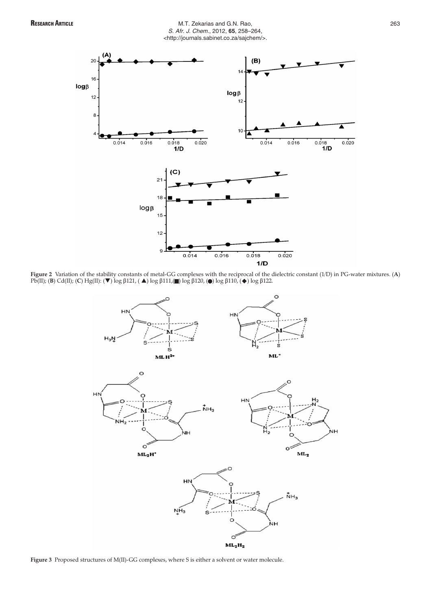

# **RESEARCH ARTICLE** 263 S. Afr. J. Chem., 2012, **65**, 258–264, <http://journals.sabinet.co.za/sajchem/>.



**Figure 2** Variation of the stability constants of metal-GG complexes with the reciprocal of the dielectric constant (1/D) in PG-water mixtures. (A)<br>Pb(II); (**B**) Cd(II); (**C**) Hg(II): (▼) log β121, ( ▲) log β111,(■) log



**Figure 3** Proposed structures of M(II)-GG complexes, where S is either a solvent or water molecule.